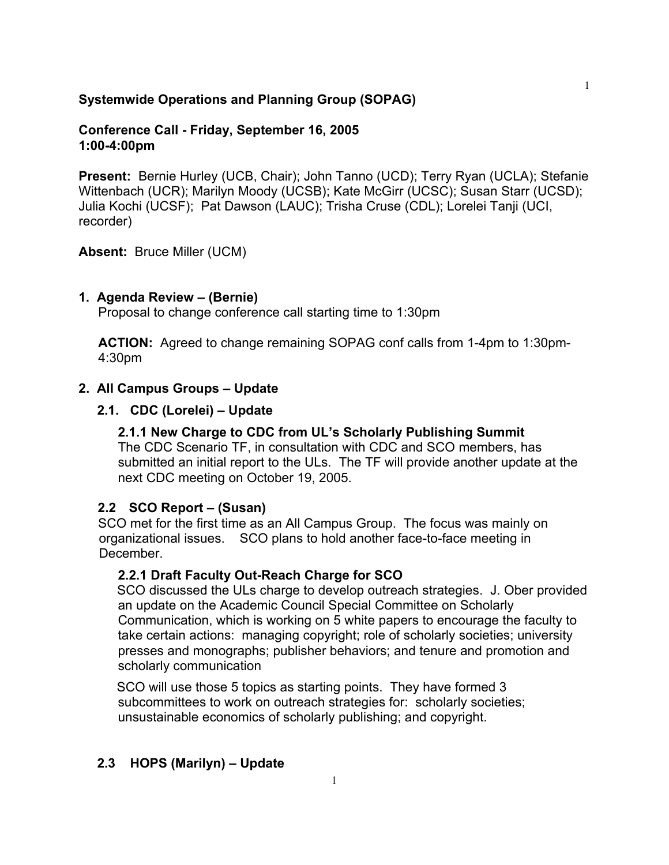### **Systemwide Operations and Planning Group (SOPAG)**

### **Conference Call - Friday, September 16, 2005 1:00-4:00pm**

**Present:** Bernie Hurley (UCB, Chair); John Tanno (UCD); Terry Ryan (UCLA); Stefanie Wittenbach (UCR); Marilyn Moody (UCSB); Kate McGirr (UCSC); Susan Starr (UCSD); Julia Kochi (UCSF); Pat Dawson (LAUC); Trisha Cruse (CDL); Lorelei Tanji (UCI, recorder)

**Absent:** Bruce Miller (UCM)

#### **1. Agenda Review – (Bernie)**

Proposal to change conference call starting time to 1:30pm

**ACTION:** Agreed to change remaining SOPAG conf calls from 1-4pm to 1:30pm-4:30pm

### **2. All Campus Groups – Update**

#### **2.1. CDC (Lorelei) – Update**

## **2.1.1 New Charge to CDC from UL's Scholarly Publishing Summit**

The CDC Scenario TF, in consultation with CDC and SCO members, has submitted an initial report to the ULs. The TF will provide another update at the next CDC meeting on October 19, 2005.

#### **2.2 SCO Report – (Susan)**

SCO met for the first time as an All Campus Group. The focus was mainly on organizational issues. SCO plans to hold another face-to-face meeting in December.

#### **2.2.1 Draft Faculty Out-Reach Charge for SCO**

SCO discussed the ULs charge to develop outreach strategies. J. Ober provided an update on the Academic Council Special Committee on Scholarly Communication, which is working on 5 white papers to encourage the faculty to take certain actions: managing copyright; role of scholarly societies; university presses and monographs; publisher behaviors; and tenure and promotion and scholarly communication

SCO will use those 5 topics as starting points. They have formed 3 subcommittees to work on outreach strategies for: scholarly societies; unsustainable economics of scholarly publishing; and copyright.

#### **2.3 HOPS (Marilyn) – Update**

1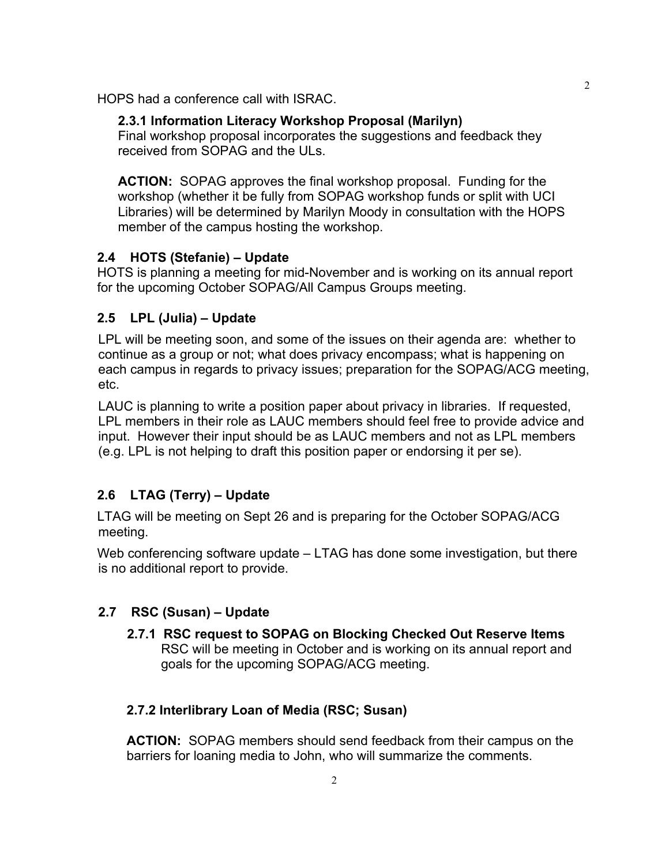HOPS had a conference call with ISRAC.

## **2.3.1 Information Literacy Workshop Proposal (Marilyn)**

Final workshop proposal incorporates the suggestions and feedback they received from SOPAG and the ULs.

**ACTION:** SOPAG approves the final workshop proposal. Funding for the workshop (whether it be fully from SOPAG workshop funds or split with UCI Libraries) will be determined by Marilyn Moody in consultation with the HOPS member of the campus hosting the workshop.

## **2.4 HOTS (Stefanie) – Update**

HOTS is planning a meeting for mid-November and is working on its annual report for the upcoming October SOPAG/All Campus Groups meeting.

# **2.5 LPL (Julia) – Update**

LPL will be meeting soon, and some of the issues on their agenda are: whether to continue as a group or not; what does privacy encompass; what is happening on each campus in regards to privacy issues; preparation for the SOPAG/ACG meeting, etc.

LAUC is planning to write a position paper about privacy in libraries. If requested, LPL members in their role as LAUC members should feel free to provide advice and input. However their input should be as LAUC members and not as LPL members (e.g. LPL is not helping to draft this position paper or endorsing it per se).

# **2.6 LTAG (Terry) – Update**

LTAG will be meeting on Sept 26 and is preparing for the October SOPAG/ACG meeting.

Web conferencing software update – LTAG has done some investigation, but there is no additional report to provide.

# **2.7 RSC (Susan) – Update**

**2.7.1 RSC request to SOPAG on Blocking Checked Out Reserve Items** RSC will be meeting in October and is working on its annual report and goals for the upcoming SOPAG/ACG meeting.

## **2.7.2 Interlibrary Loan of Media (RSC; Susan)**

**ACTION:** SOPAG members should send feedback from their campus on the barriers for loaning media to John, who will summarize the comments.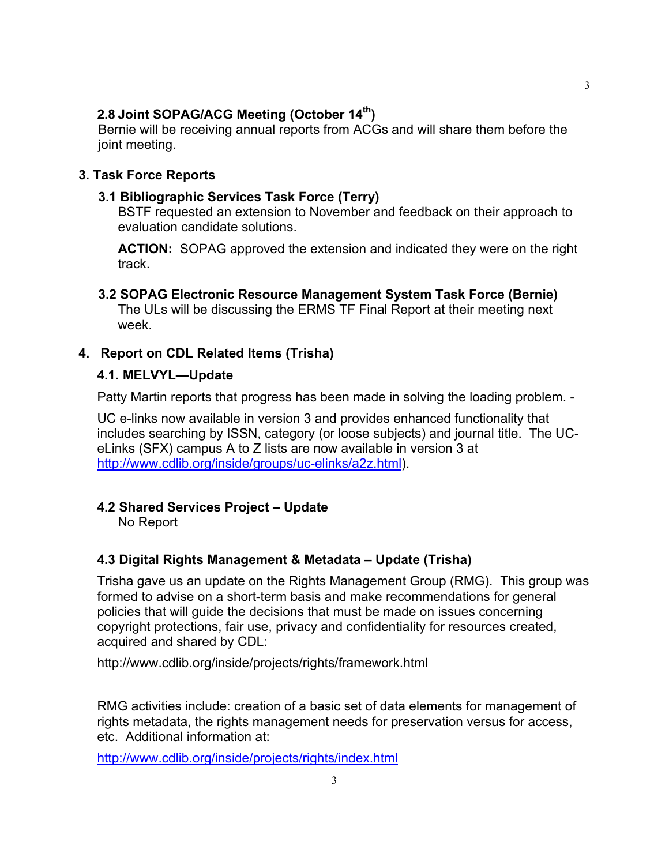### **2.8 Joint SOPAG/ACG Meeting (October 14th)**

Bernie will be receiving annual reports from ACGs and will share them before the joint meeting.

### **3. Task Force Reports**

#### **3.1 Bibliographic Services Task Force (Terry)**

BSTF requested an extension to November and feedback on their approach to evaluation candidate solutions.

**ACTION:** SOPAG approved the extension and indicated they were on the right track.

#### **3.2 SOPAG Electronic Resource Management System Task Force (Bernie)** The ULs will be discussing the ERMS TF Final Report at their meeting next week.

## **4. Report on CDL Related Items (Trisha)**

#### **4.1. MELVYL—Update**

Patty Martin reports that progress has been made in solving the loading problem. -

UC e-links now available in version 3 and provides enhanced functionality that includes searching by ISSN, category (or loose subjects) and journal title. The UCeLinks (SFX) campus A to Z lists are now available in version 3 at http://www.cdlib.org/inside/groups/uc-elinks/a2z.html).

#### **4.2 Shared Services Project – Update**

No Report

## **4.3 Digital Rights Management & Metadata – Update (Trisha)**

Trisha gave us an update on the Rights Management Group (RMG). This group was formed to advise on a short-term basis and make recommendations for general policies that will guide the decisions that must be made on issues concerning copyright protections, fair use, privacy and confidentiality for resources created, acquired and shared by CDL:

http://www.cdlib.org/inside/projects/rights/framework.html

RMG activities include: creation of a basic set of data elements for management of rights metadata, the rights management needs for preservation versus for access, etc. Additional information at:

<http://www.cdlib.org/inside/projects/rights/index.html>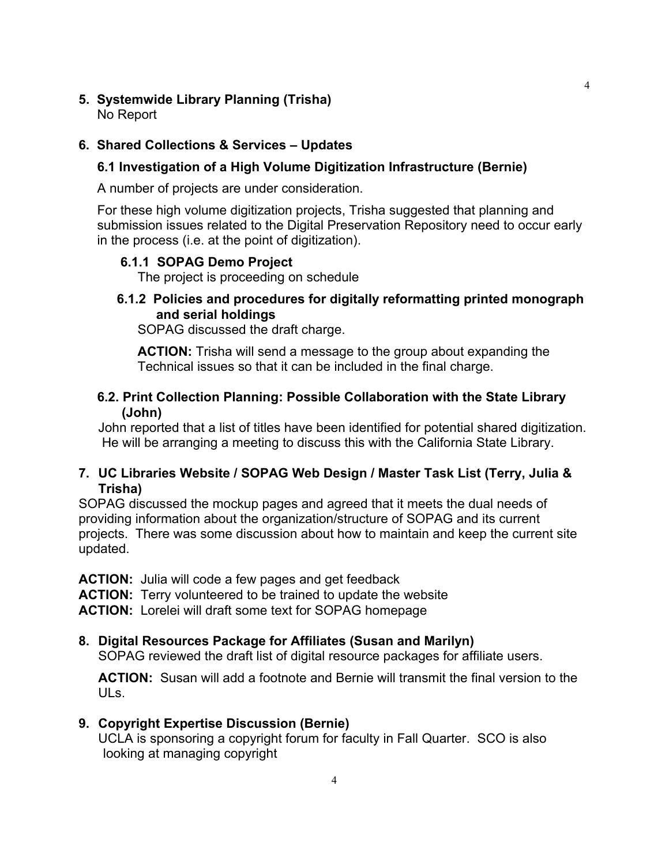#### **5. Systemwide Library Planning (Trisha)** No Report

## **6. Shared Collections & Services – Updates**

## **6.1 Investigation of a High Volume Digitization Infrastructure (Bernie)**

A number of projects are under consideration.

For these high volume digitization projects, Trisha suggested that planning and submission issues related to the Digital Preservation Repository need to occur early in the process (i.e. at the point of digitization).

# **6.1.1 SOPAG Demo Project**

The project is proceeding on schedule

# **6.1.2 Policies and procedures for digitally reformatting printed monograph and serial holdings**

SOPAG discussed the draft charge.

**ACTION:** Trisha will send a message to the group about expanding the Technical issues so that it can be included in the final charge.

## **6.2. Print Collection Planning: Possible Collaboration with the State Library (John)**

John reported that a list of titles have been identified for potential shared digitization. He will be arranging a meeting to discuss this with the California State Library.

# **7. UC Libraries Website / SOPAG Web Design / Master Task List (Terry, Julia & Trisha)**

SOPAG discussed the mockup pages and agreed that it meets the dual needs of providing information about the organization/structure of SOPAG and its current projects. There was some discussion about how to maintain and keep the current site updated.

**ACTION:** Julia will code a few pages and get feedback

**ACTION:** Terry volunteered to be trained to update the website

**ACTION:** Lorelei will draft some text for SOPAG homepage

## **8. Digital Resources Package for Affiliates (Susan and Marilyn)**

SOPAG reviewed the draft list of digital resource packages for affiliate users.

**ACTION:** Susan will add a footnote and Bernie will transmit the final version to the ULs.

## **9. Copyright Expertise Discussion (Bernie)**

UCLA is sponsoring a copyright forum for faculty in Fall Quarter. SCO is also looking at managing copyright